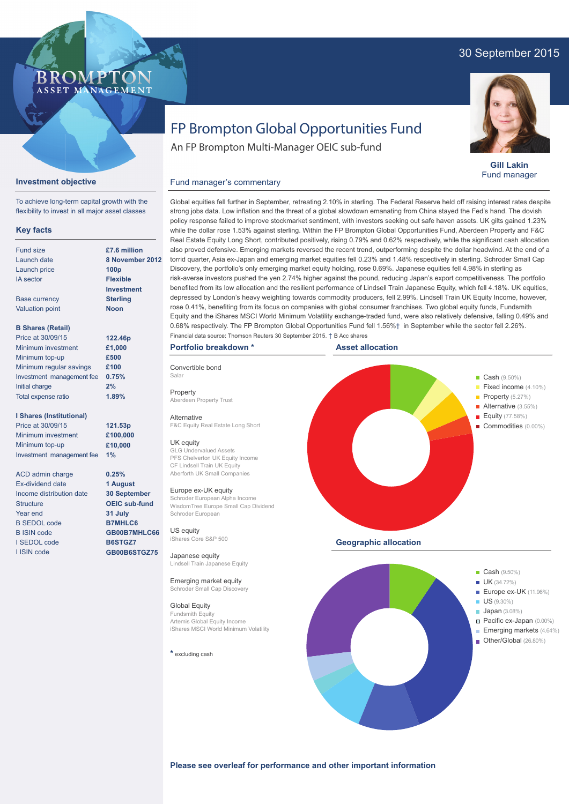## 30 September 2015



**Gill Lakin** Fund manager

# FP Brompton Global Opportunities Fund

An FP Brompton Multi-Manager OEIC sub-fund

## **Investment objective**

BROMP

ASSET MANAGEMENT

To achieve long-term capital growth with the flexibility to invest in all major asset classes

### **Key facts**

| Fund size                 | £7.6 million      |  |  |
|---------------------------|-------------------|--|--|
| Launch date               | 8 November 2012   |  |  |
| Launch price              | 100 <sub>p</sub>  |  |  |
| <b>IA</b> sector          | <b>Flexible</b>   |  |  |
|                           | <b>Investment</b> |  |  |
| <b>Base currency</b>      | <b>Sterling</b>   |  |  |
| <b>Valuation point</b>    | <b>Noon</b>       |  |  |
|                           |                   |  |  |
| <b>B Shares (Retail)</b>  |                   |  |  |
| Price at 30/09/15         | 122.46p           |  |  |
| Minimum investment        | £1,000            |  |  |
| Minimum top-up            | £500              |  |  |
| Minimum regular savings   | £100              |  |  |
| Investment management fee | 0.75%             |  |  |
| Initial charge            | 2%                |  |  |

**1.89%**

**121.53p £100,000 £10,000**

**0.25% 1 August 30 September OEIC sub-fund 31 July B7MHLC6 GB00B7MHLC66 B6STGZ7 GB00B6STGZ75**

#### **I Shares (Institutional)**

Total expense ratio

Price at 30/09/15 Minimum investment Minimum top-up Investment management fee **1%**

ACD admin charge Ex-dividend date Income distribution date **Structure** Year end B SEDOL code B ISIN code I SEDOL code I ISIN code

Global equities fell further in September, retreating 2.10% in sterling. The Federal Reserve held off raising interest rates despite strong jobs data. Low inflation and the threat of a global slowdown emanating from China stayed the Fed's hand. The dovish policy response failed to improve stockmarket sentiment, with investors seeking out safe haven assets. UK gilts gained 1.23% while the dollar rose 1.53% against sterling. Within the FP Brompton Global Opportunities Fund, Aberdeen Property and F&C Real Estate Equity Long Short, contributed positively, rising 0.79% and 0.62% respectively, while the significant cash allocation also proved defensive. Emerging markets reversed the recent trend, outperforming despite the dollar headwind. At the end of a torrid quarter, Asia ex-Japan and emerging market equities fell 0.23% and 1.48% respectively in sterling. Schroder Small Cap Discovery, the portfolio's only emerging market equity holding, rose 0.69%. Japanese equities fell 4.98% in sterling as risk-averse investors pushed the yen 2.74% higher against the pound, reducing Japan's export competitiveness. The portfolio benefited from its low allocation and the resilient performance of Lindsell Train Japanese Equity, which fell 4.18%. UK equities, depressed by London's heavy weighting towards commodity producers, fell 2.99%. Lindsell Train UK Equity Income, however, rose 0.41%, benefiting from its focus on companies with global consumer franchises. Two global equity funds, Fundsmith Equity and the iShares MSCI World Minimum Volatility exchange-traded fund, were also relatively defensive, falling 0.49% and 0.68% respectively. The FP Brompton Global Opportunities Fund fell 1.56%† in September while the sector fell 2.26%. Financial data source: Thomson Reuters 30 September 2015. † B Acc shares

#### **Portfolio breakdown \***

Fund manager's commentary

Convertible bond Salar Property Aberdeen Property Trust

Alternative F&C Equity Real Estate Long Short

### UK equity

GLG Undervalued Assets PFS Chelverton UK Equity Income CF Lindsell Train UK Equity Aberforth UK Small Companies

#### Europe ex-UK equity

Schroder European Alpha Income WisdomTree Europe Small Cap Dividend Schroder European

US equity iShares Core S&P 500

Japanese equity Lindsell Train Japanese Equity

Emerging market equity Schroder Small Cap Dis

Global Equity Fundsmith Equity Artemis Global Equity Income iShares MSCI World Minimum Volatility

**\*** excluding cash



**Please see overleaf for performance and other important information**